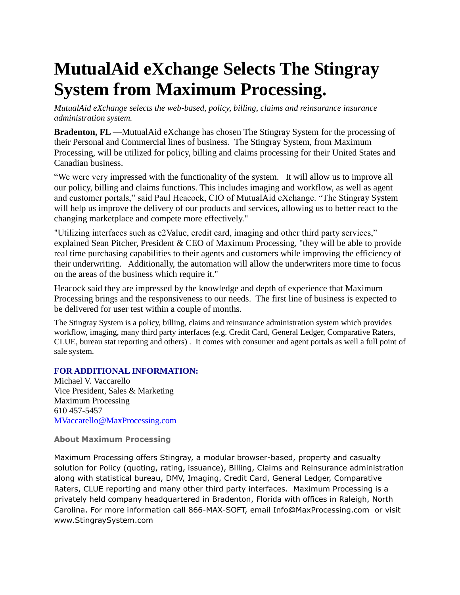## **MutualAid eXchange Selects The Stingray System from Maximum Processing.**

*MutualAid eXchange selects the web-based, policy, billing, claims and reinsurance insurance administration system.* 

**Bradenton, FL —**MutualAid eXchange has chosen The Stingray System for the processing of their Personal and Commercial lines of business. The Stingray System, from Maximum Processing, will be utilized for policy, billing and claims processing for their United States and Canadian business.

"We were very impressed with the functionality of the system. It will allow us to improve all our policy, billing and claims functions. This includes imaging and workflow, as well as agent and customer portals," said Paul Heacock, CIO of MutualAid eXchange. "The Stingray System will help us improve the delivery of our products and services, allowing us to better react to the changing marketplace and compete more effectively."

"Utilizing interfaces such as e2Value, credit card, imaging and other third party services," explained Sean Pitcher, President & CEO of Maximum Processing, "they will be able to provide real time purchasing capabilities to their agents and customers while improving the efficiency of their underwriting. Additionally, the automation will allow the underwriters more time to focus on the areas of the business which require it."

Heacock said they are impressed by the knowledge and depth of experience that Maximum Processing brings and the responsiveness to our needs. The first line of business is expected to be delivered for user test within a couple of months.

The Stingray System is a policy, billing, claims and reinsurance administration system which provides workflow, imaging, many third party interfaces (e.g. Credit Card, General Ledger, Comparative Raters, CLUE, bureau stat reporting and others) . It comes with consumer and agent portals as well a full point of sale system.

## **FOR ADDITIONAL INFORMATION:**

Michael V. Vaccarello Vice President, Sales & Marketing Maximum Processing 610 457-5457 MVaccarello@MaxProcessing.com

## **About Maximum Processing**

Maximum Processing offers Stingray, a modular browser-based, property and casualty solution for Policy (quoting, rating, issuance), Billing, Claims and Reinsurance administration along with statistical bureau, DMV, Imaging, Credit Card, General Ledger, Comparative Raters, CLUE reporting and many other third party interfaces. Maximum Processing is a privately held company headquartered in Bradenton, Florida with offices in Raleigh, North Carolina. For more information call 866-MAX-SOFT, email Info@MaxProcessing.com or visit www.StingraySystem.com